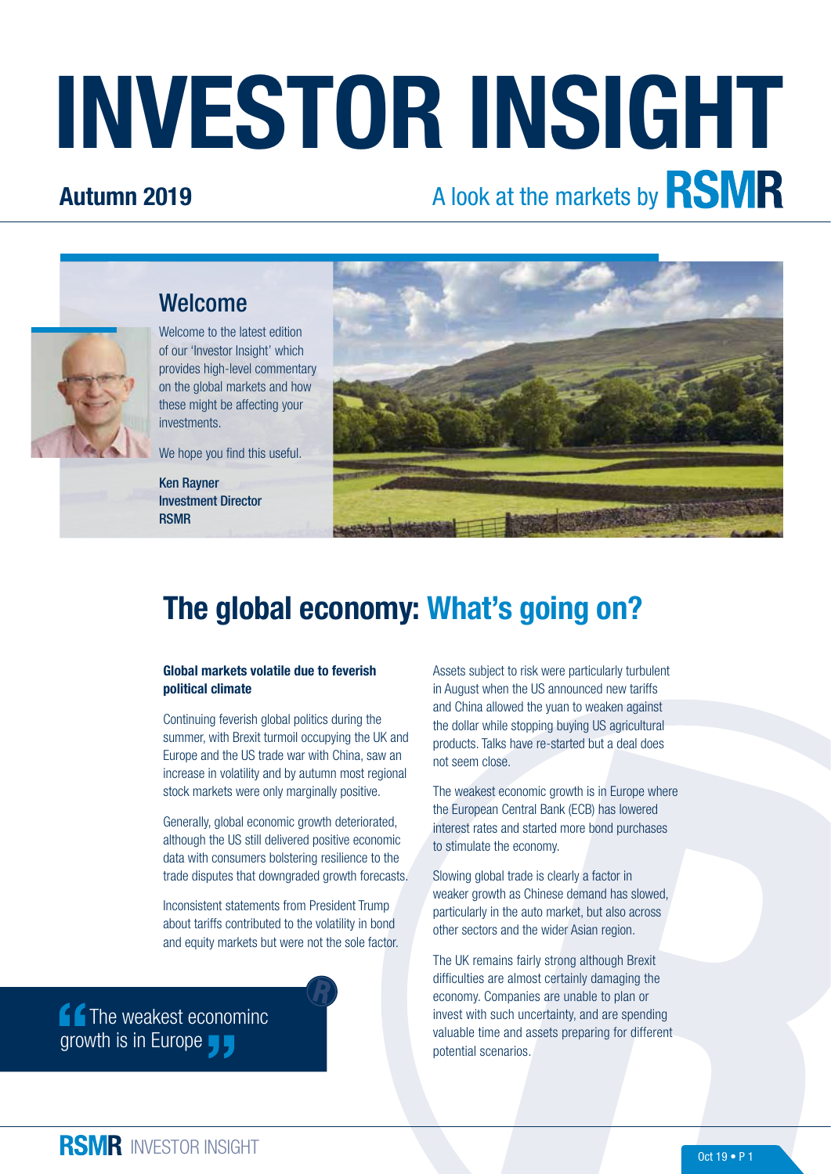# INVESTOR INSIGHT

#### Autumn 2019

# A look at the markets by **RSMR**



Welcome to the latest edition of our 'Investor Insight' which provides high-level commentary on the global markets and how these might be affecting your investments.

We hope you find this useful.

Ken Rayner Investment Director RSMR

Welcome



## The global economy: What's going on?

#### Global markets volatile due to feverish political climate

Continuing feverish global politics during the summer, with Brexit turmoil occupying the UK and Europe and the US trade war with China, saw an increase in volatility and by autumn most regional stock markets were only marginally positive.

Generally, global economic growth deteriorated, although the US still delivered positive economic data with consumers bolstering resilience to the trade disputes that downgraded growth forecasts.

Inconsistent statements from President Trump about tariffs contributed to the volatility in bond and equity markets but were not the sole factor.

**f** The weakest econominc growth is in Europe

Assets subject to risk were particularly turbulent in August when the US announced new tariffs and China allowed the yuan to weaken against the dollar while stopping buying US agricultural products. Talks have re-started but a deal does not seem close.

The weakest economic growth is in Europe where the European Central Bank (ECB) has lowered interest rates and started more bond purchases to stimulate the economy.

Slowing global trade is clearly a factor in weaker growth as Chinese demand has slowed, particularly in the auto market, but also across other sectors and the wider Asian region.

The UK remains fairly strong although Brexit difficulties are almost certainly damaging the economy. Companies are unable to plan or invest with such uncertainty, and are spending valuable time and assets preparing for different potential scenarios.

**RSMR** INVESTOR INSIGHT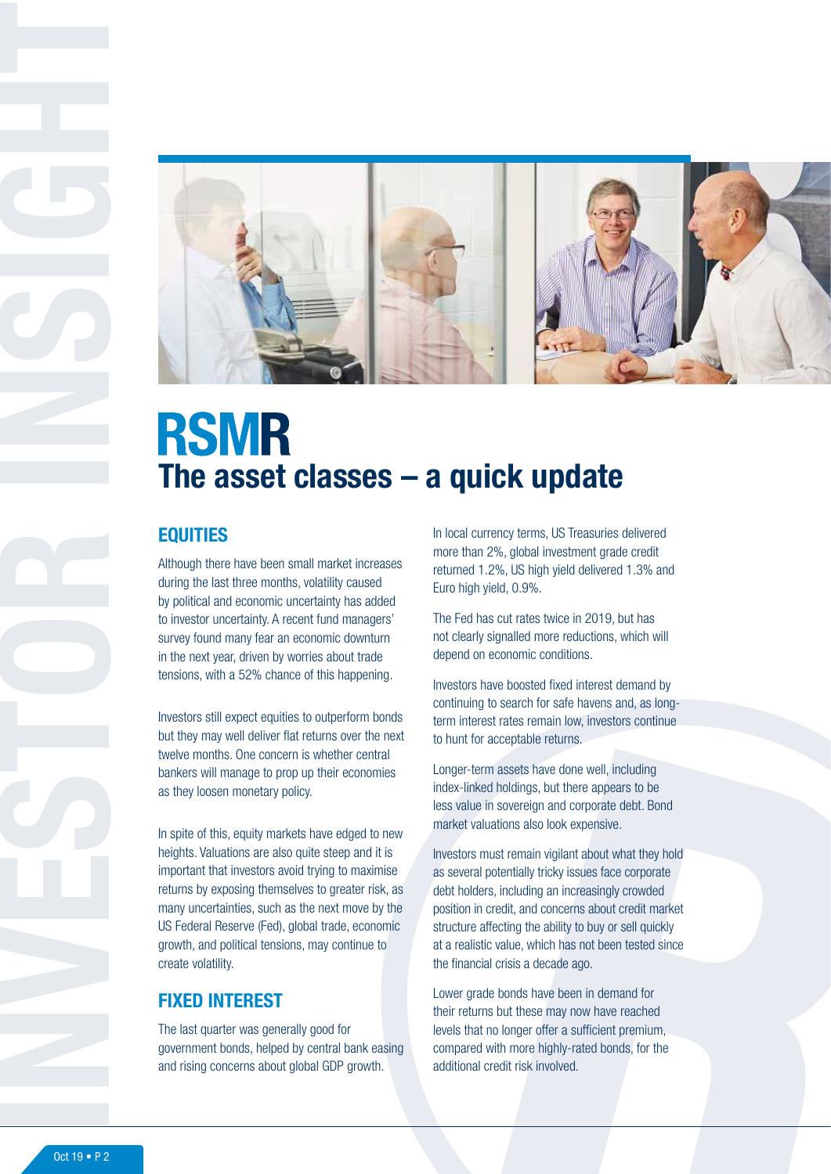

## **RSMR** The asset classes – a quick update

#### **EQUITIES**

Although there have been small market increases during the last three months, volatility caused by political and economic uncertainty has added to investor uncertainty. A recent fund managers' survey found many fear an economic downturn in the next year, driven by worries about trade tensions, with a 52% chance of this happening.

Investors still expect equities to outperform bonds but they may well deliver flat returns over the next twelve months. One concern is whether central bankers will manage to prop up their economies as they loosen monetary policy.

In spite of this, equity markets have edged to new heights. Valuations are also quite steep and it is important that investors avoid trying to maximise returns by exposing themselves to greater risk, as many uncertainties, such as the next move by the US Federal Reserve (Fed), global trade, economic growth, and political tensions, may continue to create volatility.

#### FIXED INTEREST

The last quarter was generally good for government bonds, helped by central bank easing and rising concerns about global GDP growth.

In local currency terms, US Treasuries delivered more than 2%, global investment grade credit returned 1.2%, US high yield delivered 1.3% and Euro high yield, 0.9%.

The Fed has cut rates twice in 2019, but has not clearly signalled more reductions, which will depend on economic conditions.

Investors have boosted fixed interest demand by continuing to search for safe havens and, as longterm interest rates remain low, investors continue to hunt for acceptable returns.

Longer-term assets have done well, including index-linked holdings, but there appears to be less value in sovereign and corporate debt. Bond market valuations also look expensive.

Investors must remain vigilant about what they hold as several potentially tricky issues face corporate debt holders, including an increasingly crowded position in credit, and concerns about credit market structure affecting the ability to buy or sell quickly at a realistic value, which has not been tested since the financial crisis a decade ago.

Lower grade bonds have been in demand for their returns but these may now have reached levels that no longer offer a sufficient premium, compared with more highly-rated bonds, for the additional credit risk involved.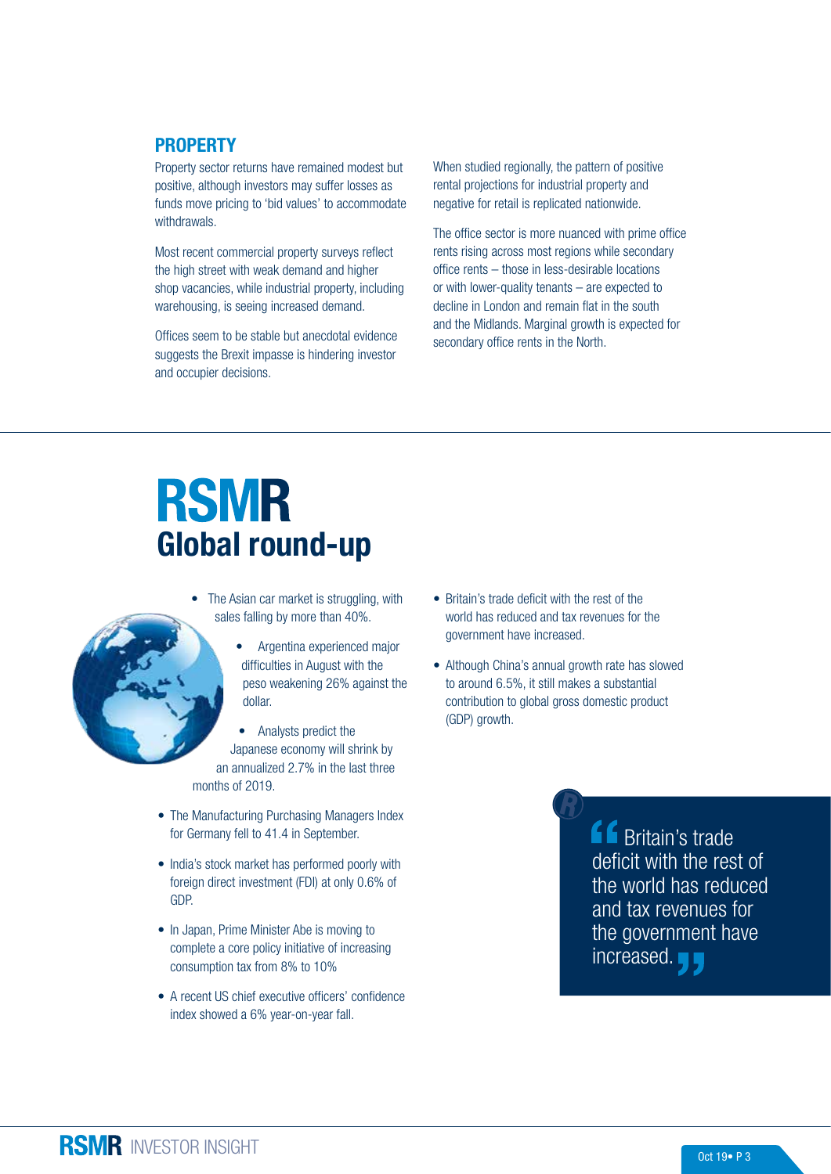#### **PROPERTY**

Property sector returns have remained modest but positive, although investors may suffer losses as funds move pricing to 'bid values' to accommodate withdrawals.

Most recent commercial property surveys reflect the high street with weak demand and higher shop vacancies, while industrial property, including warehousing, is seeing increased demand.

Offices seem to be stable but anecdotal evidence suggests the Brexit impasse is hindering investor and occupier decisions.

When studied regionally, the pattern of positive rental projections for industrial property and negative for retail is replicated nationwide.

The office sector is more nuanced with prime office rents rising across most regions while secondary office rents – those in less-desirable locations or with lower-quality tenants – are expected to decline in London and remain flat in the south and the Midlands. Marginal growth is expected for secondary office rents in the North.

# **RSMR** Global round-up

- The Asian car market is struggling, with sales falling by more than 40%.
	- Argentina experienced major difficulties in August with the peso weakening 26% against the dollar.
- Analysts predict the Japanese economy will shrink by an annualized 2.7% in the last three months of 2019.
- The Manufacturing Purchasing Managers Index for Germany fell to 41.4 in September.
- India's stock market has performed poorly with foreign direct investment (FDI) at only 0.6% of GDP.
- In Japan, Prime Minister Abe is moving to complete a core policy initiative of increasing consumption tax from 8% to 10%
- A recent US chief executive officers' confidence index showed a 6% year-on-year fall.
- Britain's trade deficit with the rest of the world has reduced and tax revenues for the government have increased.
- Although China's annual growth rate has slowed to around 6.5%, it still makes a substantial contribution to global gross domestic product (GDP) growth.

**f** Britain's trade deficit with the rest of the world has reduced and tax revenues for the government have increased.